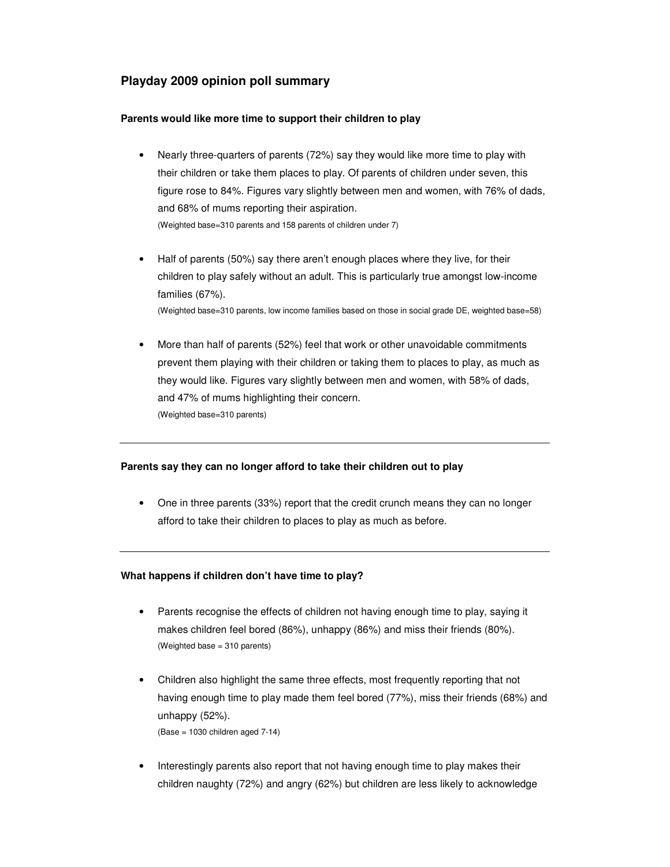# **Playday 2009 opinion poll summary**

### **Parents would like more time to support their children to play**

- Nearly three-quarters of parents (72%) say they would like more time to play with their children or take them places to play. Of parents of children under seven, this figure rose to 84%. Figures vary slightly between men and women, with 76% of dads, and 68% of mums reporting their aspiration. (Weighted base=310 parents and 158 parents of children under 7)
- Half of parents (50%) say there aren't enough places where they live, for their children to play safely without an adult. This is particularly true amongst low-income families (67%). (Weighted base=310 parents, low income families based on those in social grade DE, weighted base=58)
- More than half of parents (52%) feel that work or other unavoidable commitments prevent them playing with their children or taking them to places to play, as much as they would like. Figures vary slightly between men and women, with 58% of dads, and 47% of mums highlighting their concern. (Weighted base=310 parents)

## **Parents say they can no longer afford to take their children out to play**

• One in three parents (33%) report that the credit crunch means they can no longer afford to take their children to places to play as much as before.

### **What happens if children don't have time to play?**

- Parents recognise the effects of children not having enough time to play, saying it makes children feel bored (86%), unhappy (86%) and miss their friends (80%). (Weighted base = 310 parents)
- Children also highlight the same three effects, most frequently reporting that not having enough time to play made them feel bored (77%), miss their friends (68%) and unhappy (52%). (Base = 1030 children aged 7-14)
- Interestingly parents also report that not having enough time to play makes their children naughty (72%) and angry (62%) but children are less likely to acknowledge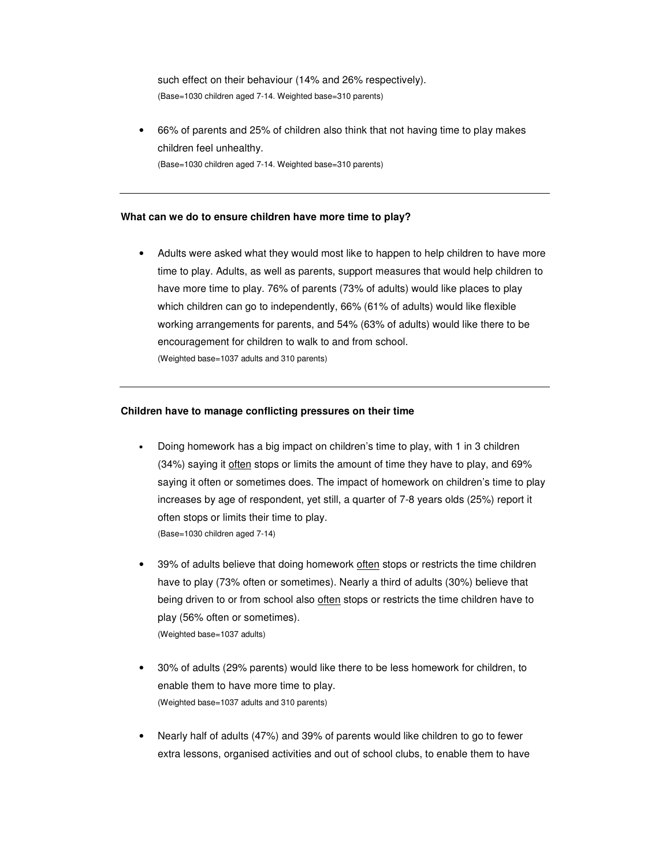such effect on their behaviour (14% and 26% respectively). (Base=1030 children aged 7-14. Weighted base=310 parents)

• 66% of parents and 25% of children also think that not having time to play makes children feel unhealthy. (Base=1030 children aged 7-14. Weighted base=310 parents)

### **What can we do to ensure children have more time to play?**

• Adults were asked what they would most like to happen to help children to have more time to play. Adults, as well as parents, support measures that would help children to have more time to play. 76% of parents (73% of adults) would like places to play which children can go to independently, 66% (61% of adults) would like flexible working arrangements for parents, and 54% (63% of adults) would like there to be encouragement for children to walk to and from school. (Weighted base=1037 adults and 310 parents)

#### **Children have to manage conflicting pressures on their time**

- Doing homework has a big impact on children's time to play, with 1 in 3 children (34%) saying it often stops or limits the amount of time they have to play, and 69% saying it often or sometimes does. The impact of homework on children's time to play increases by age of respondent, yet still, a quarter of 7-8 years olds (25%) report it often stops or limits their time to play. (Base=1030 children aged 7-14)
- 39% of adults believe that doing homework often stops or restricts the time children have to play (73% often or sometimes). Nearly a third of adults (30%) believe that being driven to or from school also often stops or restricts the time children have to play (56% often or sometimes). (Weighted base=1037 adults)
- 30% of adults (29% parents) would like there to be less homework for children, to enable them to have more time to play. (Weighted base=1037 adults and 310 parents)
- Nearly half of adults (47%) and 39% of parents would like children to go to fewer extra lessons, organised activities and out of school clubs, to enable them to have